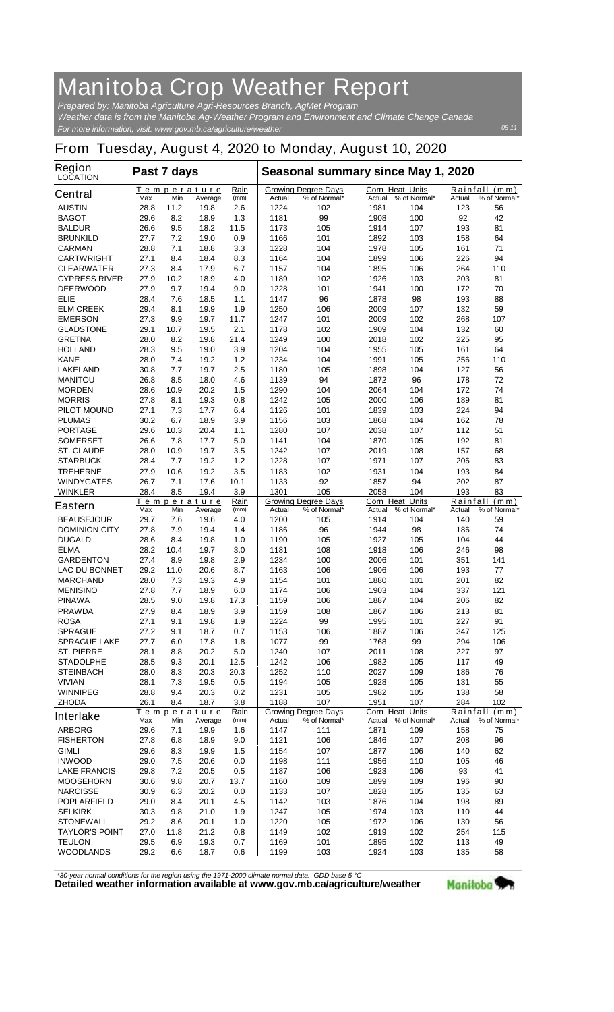## **Manitoba Crop Weather Report**

*For more information, visit: www.gov.mb.ca/agriculture/weather Prepared by: Manitoba Agriculture Agri-Resources Branch, AgMet Program Weather data is from the Manitoba Ag-Weather Program and Environment and Climate Change Canada*

## **From Tuesday, August 4, 2020 to Monday, August 10, 2020**

| <b>Region</b><br><b>LOCATION</b>        | Past 7 days  |             |                        |              | Seasonal summary since May 1, 2020 |                                            |                        |                     |               |                               |
|-----------------------------------------|--------------|-------------|------------------------|--------------|------------------------------------|--------------------------------------------|------------------------|---------------------|---------------|-------------------------------|
| <b>Central</b>                          | Max          | Min         | Temperature<br>Average | Rain<br>(mm) | Actual                             | <b>Growing Degree Days</b><br>% of Normal* | Corn Heat Units        | Actual % of Normal* | Actual        | Rainfall (mm)<br>% of Normal* |
| <b>AUSTIN</b>                           | 28.8         | 11.2        | 19.8                   | 2.6          | 1224                               | 102                                        | 1981                   | 104                 | 123           | 56                            |
| <b>BAGOT</b>                            | 29.6         | 8.2         | 18.9                   | 1.3          | 1181                               | 99                                         | 1908                   | 100                 | 92            | 42                            |
| <b>BALDUR</b>                           | 26.6         | 9.5<br>7.2  | 18.2                   | 11.5         | 1173<br>1166                       | 105                                        | 1914                   | 107<br>103          | 193<br>158    | 81<br>64                      |
| <b>BRUNKILD</b><br><b>CARMAN</b>        | 27.7<br>28.8 | 7.1         | 19.0<br>18.8           | 0.9<br>3.3   | 1228                               | 101<br>104                                 | 1892<br>1978           | 105                 | 161           | 71                            |
| <b>CARTWRIGHT</b>                       | 27.1         | 8.4         | 18.4                   | 8.3          | 1164                               | 104                                        | 1899                   | 106                 | 226           | 94                            |
| <b>CLEARWATER</b>                       | 27.3         | 8.4         | 17.9                   | 6.7          | 1157                               | 104                                        | 1895                   | 106                 | 264           | 110                           |
| <b>CYPRESS RIVER</b>                    | 27.9         | 10.2        | 18.9                   | 4.0          | 1189                               | 102                                        | 1926                   | 103                 | 203           | 81                            |
| <b>DEERWOOD</b>                         | 27.9         | 9.7         | 19.4                   | 9.0          | 1228                               | 101                                        | 1941                   | 100                 | 172           | 70                            |
| ELIE                                    | 28.4         | 7.6         | 18.5                   | 1.1          | 1147                               | 96                                         | 1878                   | 98                  | 193           | 88                            |
| <b>ELM CREEK</b>                        | 29.4         | 8.1         | 19.9                   | 1.9          | 1250                               | 106                                        | 2009                   | 107                 | 132           | 59                            |
| <b>EMERSON</b>                          | 27.3         | 9.9         | 19.7                   | 11.7         | 1247                               | 101                                        | 2009                   | 102                 | 268           | 107                           |
| <b>GLADSTONE</b><br><b>GRETNA</b>       | 29.1<br>28.0 | 10.7<br>8.2 | 19.5<br>19.8           | 2.1<br>21.4  | 1178<br>1249                       | 102<br>100                                 | 1909<br>2018           | 104<br>102          | 132<br>225    | 60<br>95                      |
| <b>HOLLAND</b>                          | 28.3         | 9.5         | 19.0                   | 3.9          | 1204                               | 104                                        | 1955                   | 105                 | 161           | 64                            |
| <b>KANE</b>                             | 28.0         | 7.4         | 19.2                   | 1.2          | 1234                               | 104                                        | 1991                   | 105                 | 256           | 110                           |
| <b>LAKELAND</b>                         | 30.8         | 7.7         | 19.7                   | 2.5          | 1180                               | 105                                        | 1898                   | 104                 | 127           | 56                            |
| <b>MANITOU</b>                          | 26.8         | 8.5         | 18.0                   | 4.6          | 1139                               | 94                                         | 1872                   | 96                  | 178           | 72                            |
| <b>MORDEN</b>                           | 28.6         | 10.9        | 20.2                   | 1.5          | 1290                               | 104                                        | 2064                   | 104                 | 172           | 74                            |
| <b>MORRIS</b>                           | 27.8         | 8.1         | 19.3                   | 0.8          | 1242                               | 105                                        | 2000                   | 106                 | 189           | 81                            |
| <b>PILOT MOUND</b>                      | 27.1         | 7.3         | 17.7                   | 6.4          | 1126                               | 101                                        | 1839                   | 103                 | 224           | 94                            |
| <b>PLUMAS</b>                           | 30.2         | 6.7         | 18.9                   | 3.9          | 1156                               | 103                                        | 1868                   | 104                 | 162           | 78                            |
| <b>PORTAGE</b>                          | 29.6<br>26.6 | 10.3        | 20.4                   | 1.1<br>5.0   | 1280                               | 107                                        | 2038                   | 107                 | 112<br>192    | 51<br>81                      |
| <b>SOMERSET</b><br><b>ST. CLAUDE</b>    | 28.0         | 7.8<br>10.9 | 17.7<br>19.7           | 3.5          | 1141<br>1242                       | 104<br>107                                 | 1870<br>2019           | 105<br>108          | 157           | 68                            |
| <b>STARBUCK</b>                         | 28.4         | 7.7         | 19.2                   | 1.2          | 1228                               | 107                                        | 1971                   | 107                 | 206           | 83                            |
| <b>TREHERNE</b>                         | 27.9         | 10.6        | 19.2                   | 3.5          | 1183                               | 102                                        | 1931                   | 104                 | 193           | 84                            |
| <b>WINDYGATES</b>                       | 26.7         | 7.1         | 17.6                   | 10.1         | 1133                               | 92                                         | 1857                   | 94                  | 202           | 87                            |
| <b>WINKLER</b>                          | 28.4         | 8.5         | 19.4                   | 3.9          | 1301                               | 105                                        | 2058                   | 104                 | 193           | 83                            |
| Eastern                                 |              |             | Temperature            | Rain         |                                    | <b>Growing Degree Days</b>                 | <b>Corn Heat Units</b> |                     |               | Rainfall (mm)                 |
| <b>BEAUSEJOUR</b>                       | Max<br>29.7  | Min<br>7.6  | Average<br>19.6        | (mm)<br>4.0  | Actual<br>1200                     | % of Normal*<br>105                        | Actual<br>1914         | % of Normal*<br>104 | Actual<br>140 | % of Normal*<br>59            |
| <b>DOMINION CITY</b>                    | 27.8         | 7.9         | 19.4                   | 1.4          | 1186                               | 96                                         | 1944                   | 98                  | 186           | 74                            |
| <b>DUGALD</b>                           | 28.6         | 8.4         | 19.8                   | 1.0          | 1190                               | 105                                        | 1927                   | 105                 | 104           | 44                            |
| <b>ELMA</b>                             | 28.2         | 10.4        | 19.7                   | 3.0          | 1181                               | 108                                        | 1918                   | 106                 | 246           | 98                            |
| <b>GARDENTON</b>                        | 27.4         | 8.9         | 19.8                   | 2.9          | 1234                               | 100                                        | 2006                   | 101                 | 351           | 141                           |
| <b>LAC DU BONNET</b>                    | 29.2         | 11.0        | 20.6                   | 8.7          | 1163                               | 106                                        | 1906                   | 106                 | 193           | 77                            |
| <b>MARCHAND</b>                         | 28.0         | 7.3         | 19.3                   | 4.9          | 1154                               | 101                                        | 1880                   | 101                 | 201           | 82                            |
| <b>MENISINO</b>                         | 27.8         | 7.7         | 18.9                   | 6.0          | 1174                               | 106                                        | 1903                   | 104                 | 337           | 121                           |
| <b>PINAWA</b><br><b>PRAWDA</b>          | 28.5<br>27.9 | 9.0<br>8.4  | 19.8<br>18.9           | 17.3<br>3.9  | 1159<br>1159                       | 106<br>108                                 | 1887<br>1867           | 104<br>106          | 206<br>213    | 82<br>81                      |
| <b>ROSA</b>                             | 27.1         | 9.1         | 19.8                   | 1.9          | 1224                               | 99                                         | 1995                   | 101                 | 227           | 91                            |
| <b>SPRAGUE</b>                          | 27.2         | 9.1         | 18.7                   | 0.7          | 1153                               | 106                                        | 1887                   | 106                 | 347           | 125                           |
| <b>SPRAGUE LAKE</b>                     | 27.7         | 6.0         | 17.8                   | 1.8          | 1077                               | 99                                         | 1768                   | 99                  | 294           | 106                           |
| <b>ST. PIERRE</b>                       | 28.1         | 8.8         | 20.2                   | 5.0          | 1240                               | 107                                        | 2011                   | 108                 | 227           | 97                            |
| <b>STADOLPHE</b>                        | 28.5         | 9.3         | 20.1                   | 12.5         | 1242                               | 106                                        | 1982                   | 105                 | 117           | 49                            |
| <b>STEINBACH</b>                        | 28.0         | 8.3         | 20.3                   | 20.3         | 1252                               | 110                                        | 2027                   | 109                 | 186           | 76                            |
| <b>VIVIAN</b>                           | 28.1         | 7.3         | 19.5                   | 0.5          | 1194                               | 105                                        | 1928                   | 105                 | 131           | 55                            |
| <b>WINNIPEG</b>                         | 28.8         | 9.4         | 20.3<br>18.7           | 0.2          | 1231                               | 105<br>107                                 | 1982<br>1951           | 105<br>107          | 138<br>284    | 58<br>102                     |
| <b>ZHODA</b>                            | 26.1         | 8.4         | Temperature            | 3.8<br>Rain  | 1188                               | <b>Growing Degree Days</b>                 | Corn Heat Units        |                     |               | Rainfall (mm)                 |
| <b>Interlake</b>                        | Max          | Min         | Average                | (mm)         | Actual                             | % of Normal*                               | Actual                 | % of Normal*        | Actual        | % of Normal*                  |
| <b>ARBORG</b>                           | 29.6         | 7.1         | 19.9                   | 1.6          | 1147                               | 111                                        | 1871                   | 109                 | 158           | 75                            |
| <b>FISHERTON</b>                        | 27.8         | 6.8         | 18.9                   | 9.0          | 1121                               | 106                                        | 1846                   | 107                 | 208           | 96                            |
| <b>GIMLI</b>                            | 29.6         | 8.3         | 19.9                   | 1.5          | 1154                               | 107                                        | 1877                   | 106                 | 140           | 62                            |
| <b>INWOOD</b>                           | 29.0         | 7.5         | 20.6                   | 0.0          | 1198                               | 111                                        | 1956                   | 110                 | 105           | 46                            |
| <b>LAKE FRANCIS</b><br><b>MOOSEHORN</b> | 29.8<br>30.6 | 7.2<br>9.8  | 20.5<br>20.7           | 0.5<br>13.7  | 1187<br>1160                       | 106<br>109                                 | 1923<br>1899           | 106<br>109          | 93<br>196     | 41<br>90                      |
| <b>NARCISSE</b>                         | 30.9         | 6.3         | 20.2                   | 0.0          | 1133                               | 107                                        | 1828                   | 105                 | 135           | 63                            |
| <b>POPLARFIELD</b>                      | 29.0         | 8.4         | 20.1                   | 4.5          | 1142                               | 103                                        | 1876                   | 104                 | 198           | 89                            |
| <b>SELKIRK</b>                          | 30.3         | 9.8         | 21.0                   | 1.9          | 1247                               | 105                                        | 1974                   | 103                 | 110           | 44                            |
| <b>STONEWALL</b>                        | 29.2         | 8.6         | 20.1                   | 1.0          | 1220                               | 105                                        | 1972                   | 106                 | 130           | 56                            |
| <b>TAYLOR'S POINT</b>                   | 27.0         | 11.8        | 21.2                   | 0.8          | 1149                               | 102                                        | 1919                   | 102                 | 254           | 115                           |
| <b>TEULON</b>                           | 29.5         | 6.9         | 19.3                   | 0.7          | 1169                               | 101                                        | 1895                   | 102                 | 113           | 49                            |
| <b>WOODLANDS</b>                        | 29.2         | 6.6         | 18.7                   | 0.6          | 1199                               | 103                                        | 1924                   | 103                 | 135           | 58                            |

*\*30-year normal conditions for the region using the 1971-2000 climate normal data. GDD base 5 °C*<br>Detailed weather information available at www.gov.mb.ca/agriculture/weather